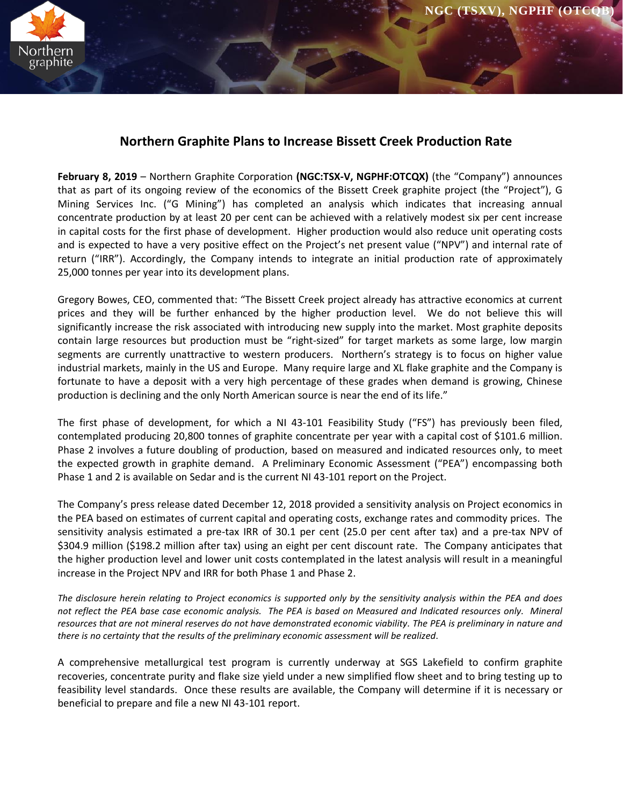

# **Northern Graphite Plans to Increase Bissett Creek Production Rate**

**February 8, 2019** – Northern Graphite Corporation **(NGC:TSX-V, NGPHF:OTCQX)** (the "Company") announces that as part of its ongoing review of the economics of the Bissett Creek graphite project (the "Project"), G Mining Services Inc. ("G Mining") has completed an analysis which indicates that increasing annual concentrate production by at least 20 per cent can be achieved with a relatively modest six per cent increase in capital costs for the first phase of development. Higher production would also reduce unit operating costs and is expected to have a very positive effect on the Project's net present value ("NPV") and internal rate of return ("IRR"). Accordingly, the Company intends to integrate an initial production rate of approximately 25,000 tonnes per year into its development plans.

Gregory Bowes, CEO, commented that: "The Bissett Creek project already has attractive economics at current prices and they will be further enhanced by the higher production level. We do not believe this will significantly increase the risk associated with introducing new supply into the market. Most graphite deposits contain large resources but production must be "right-sized" for target markets as some large, low margin segments are currently unattractive to western producers. Northern's strategy is to focus on higher value industrial markets, mainly in the US and Europe. Many require large and XL flake graphite and the Company is fortunate to have a deposit with a very high percentage of these grades when demand is growing, Chinese production is declining and the only North American source is near the end of its life."

The first phase of development, for which a NI 43-101 Feasibility Study ("FS") has previously been filed, contemplated producing 20,800 tonnes of graphite concentrate per year with a capital cost of \$101.6 million. Phase 2 involves a future doubling of production, based on measured and indicated resources only, to meet the expected growth in graphite demand. A Preliminary Economic Assessment ("PEA") encompassing both Phase 1 and 2 is available on Sedar and is the current NI 43-101 report on the Project.

The Company's press release dated December 12, 2018 provided a sensitivity analysis on Project economics in the PEA based on estimates of current capital and operating costs, exchange rates and commodity prices. The sensitivity analysis estimated a pre-tax IRR of 30.1 per cent (25.0 per cent after tax) and a pre-tax NPV of \$304.9 million (\$198.2 million after tax) using an eight per cent discount rate. The Company anticipates that the higher production level and lower unit costs contemplated in the latest analysis will result in a meaningful increase in the Project NPV and IRR for both Phase 1 and Phase 2.

*The disclosure herein relating to Project economics is supported only by the sensitivity analysis within the PEA and does not reflect the PEA base case economic analysis. The PEA is based on Measured and Indicated resources only. Mineral resources that are not mineral reserves do not have demonstrated economic viability. The PEA is preliminary in nature and there is no certainty that the results of the preliminary economic assessment will be realized*.

A comprehensive metallurgical test program is currently underway at SGS Lakefield to confirm graphite recoveries, concentrate purity and flake size yield under a new simplified flow sheet and to bring testing up to feasibility level standards. Once these results are available, the Company will determine if it is necessary or beneficial to prepare and file a new NI 43-101 report.